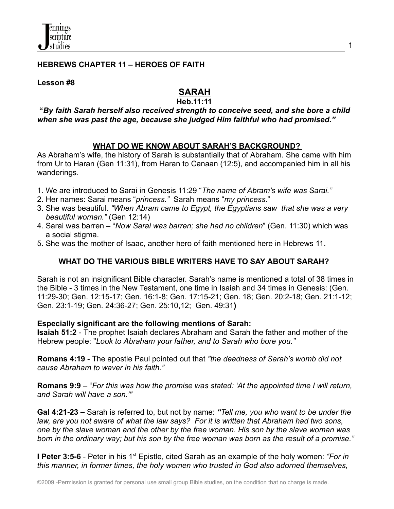

#### **HEBREWS CHAPTER 11 – HEROES OF FAITH**

**Lesson #8**

# **SARAH**

#### **Heb.11:11**

#### **"***By faith Sarah herself also received strength to conceive seed, and she bore a child when she was past the age, because she judged Him faithful who had promised."*

# **WHAT DO WE KNOW ABOUT SARAH'S BACKGROUND?**

As Abraham's wife, the history of Sarah is substantially that of Abraham. She came with him from Ur to Haran (Gen 11:31), from Haran to Canaan (12:5), and accompanied him in all his wanderings.

- 1. We are introduced to Sarai in Genesis 11:29 "*The name of Abram's wife was Sarai."*
- 2. Her names: Sarai means "*princess."* Sarah means "*my princess*."
- 3. She was beautiful. *"When Abram came to Egypt, the Egyptians saw that she was a very beautiful woman."* (Gen 12:14)
- 4. Sarai was barren "*Now Sarai was barren; she had no children*" (Gen. 11:30) which was a social stigma.
- 5. She was the mother of Isaac, another hero of faith mentioned here in Hebrews 11.

# **WHAT DO THE VARIOUS BIBLE WRITERS HAVE TO SAY ABOUT SARAH?**

Sarah is not an insignificant Bible character. Sarah's name is mentioned a total of 38 times in the Bible - 3 times in the New Testament, one time in Isaiah and 34 times in Genesis: (Gen. 11:29-30; Gen. 12:15-17; Gen. 16:1-8; Gen. 17:15-21; Gen. 18; Gen. 20:2-18; Gen. 21:1-12; Gen. 23:1-19; Gen. 24:36-27; Gen. 25:10,12; Gen. 49:31**)**

#### **Especially significant are the following mentions of Sarah:**

**Isaiah 51:2** - The prophet Isaiah declares Abraham and Sarah the father and mother of the Hebrew people: "*Look to Abraham your father, and to Sarah who bore you."*

**Romans 4:19** - The apostle Paul pointed out that *"the deadness of Sarah's womb did not cause Abraham to waver in his faith."*

**Romans 9:9** – "*For this was how the promise was stated: 'At the appointed time I will return, and Sarah will have a son.'"*

**Gal 4:21-23 –** Sarah is referred to, but not by name: *"Tell me, you who want to be under the law, are you not aware of what the law says? For it is written that Abraham had two sons, one by the slave woman and the other by the free woman. His son by the slave woman was* born in the ordinary way: but his son by the free woman was born as the result of a promise."

**I** Peter 3:5-6 - Peter in his 1<sup>st</sup> Epistle, cited Sarah as an example of the holy women: *"For in this manner, in former times, the holy women who trusted in God also adorned themselves,*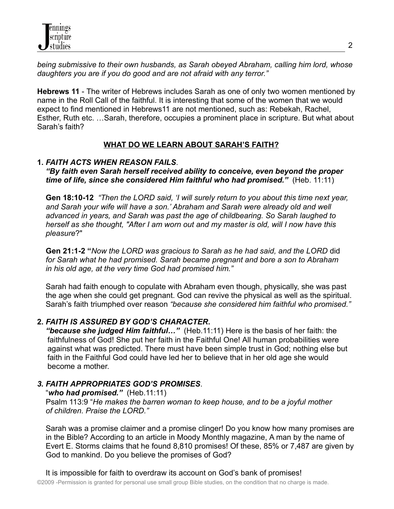*being submissive to their own husbands, as Sarah obeyed Abraham, calling him lord, whose daughters you are if you do good and are not afraid with any terror."*

**Hebrews 11** - The writer of Hebrews includes Sarah as one of only two women mentioned by name in the Roll Call of the faithful. It is interesting that some of the women that we would expect to find mentioned in Hebrews11 are not mentioned, such as: Rebekah, Rachel, Esther, Ruth etc. …Sarah, therefore, occupies a prominent place in scripture. But what about Sarah's faith?

# **WHAT DO WE LEARN ABOUT SARAH'S FAITH?**

# **1.** *FAITH ACTS WHEN REASON FAILS*.

*"By faith even Sarah herself received ability to conceive, even beyond the proper time of life, since she considered Him faithful who had promised."* (Heb. 11:11)

**Gen 18:10-12** *"Then the LORD said, 'I will surely return to you about this time next year, and Sarah your wife will have a son.' Abraham and Sarah were already old and well advanced in years, and Sarah was past the age of childbearing. So Sarah laughed to herself as she thought, "After I am worn out and my master is old, will I now have this pleasure*?"

**Gen 21:1-2 "***Now the LORD was gracious to Sarah as he had said, and the LORD* did *for Sarah what he had promised. Sarah became pregnant and bore a son to Abraham in his old age, at the very time God had promised him."*

Sarah had faith enough to copulate with Abraham even though, physically, she was past the age when she could get pregnant. God can revive the physical as well as the spiritual. Sarah's faith triumphed over reason *"because she considered him faithful who promised."*

# **2.** *FAITH IS ASSURED BY GOD'S CHARACTER***.**

*"because she judged Him faithful…"* (Heb.11:11) Here is the basis of her faith: the faithfulness of God! She put her faith in the Faithful One! All human probabilities were against what was predicted. There must have been simple trust in God; nothing else but faith in the Faithful God could have led her to believe that in her old age she would become a mother.

# *3. FAITH APPROPRIATES GOD'S PROMISES*.

*of children. Praise the LORD."*

"*who had promised."* (Heb.11:11) Psalm 113:9 "*He makes the barren woman to keep house, and to be a joyful mother*

Sarah was a promise claimer and a promise clinger! Do you know how many promises are in the Bible? According to an article in Moody Monthly magazine, A man by the name of Evert E. Storms claims that he found 8,810 promises! Of these, 85% or 7,487 are given by God to mankind. Do you believe the promises of God?

It is impossible for faith to overdraw its account on God's bank of promises!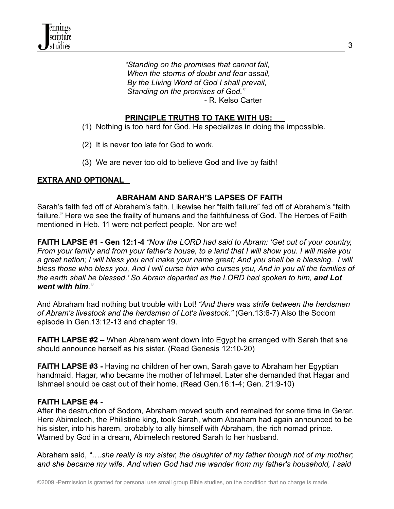

*"Standing on the promises that cannot fail, When the storms of doubt and fear assail, By the Living Word of God I shall prevail, Standing on the promises of God."* - R. Kelso Carter

### **PRINCIPLE TRUTHS TO TAKE WITH US:**

- (1) Nothing is too hard for God. He specializes in doing the impossible.
- (2) It is never too late for God to work.
- (3) We are never too old to believe God and live by faith!

#### **EXTRA AND OPTIONAL**

#### **ABRAHAM AND SARAH'S LAPSES OF FAITH**

Sarah's faith fed off of Abraham's faith. Likewise her "faith failure" fed off of Abraham's "faith failure." Here we see the frailty of humans and the faithfulness of God. The Heroes of Faith mentioned in Heb. 11 were not perfect people. Nor are we!

**FAITH LAPSE #1 - Gen 12:1-4** *"Now the LORD had said to Abram: 'Get out of your country,* From your family and from your father's house, to a land that I will show you. I will make you a great nation; I will bless you and make your name great; And you shall be a blessing. I will bless those who bless you, And I will curse him who curses you, And in you all the families of *the earth shall be blessed.' So Abram departed as the LORD had spoken to him, and Lot went with him."*

And Abraham had nothing but trouble with Lot! *"And there was strife between the herdsmen of Abram's livestock and the herdsmen of Lot's livestock."* (Gen.13:6-7) Also the Sodom episode in Gen.13:12-13 and chapter 19.

**FAITH LAPSE #2 –** When Abraham went down into Egypt he arranged with Sarah that she should announce herself as his sister. (Read Genesis 12:10-20)

**FAITH LAPSE #3 -** Having no children of her own, Sarah gave to Abraham her Egyptian handmaid, Hagar, who became the mother of Ishmael. Later she demanded that Hagar and Ishmael should be cast out of their home. (Read Gen.16:1-4; Gen. 21:9-10)

#### **FAITH LAPSE #4 -**

After the destruction of Sodom, Abraham moved south and remained for some time in Gerar. Here Abimelech, the Philistine king, took Sarah, whom Abraham had again announced to be his sister, into his harem, probably to ally himself with Abraham, the rich nomad prince. Warned by God in a dream, Abimelech restored Sarah to her husband.

Abraham said, *"….she really is my sister, the daughter of my father though not of my mother; and she became my wife. And when God had me wander from my father's household, I said*